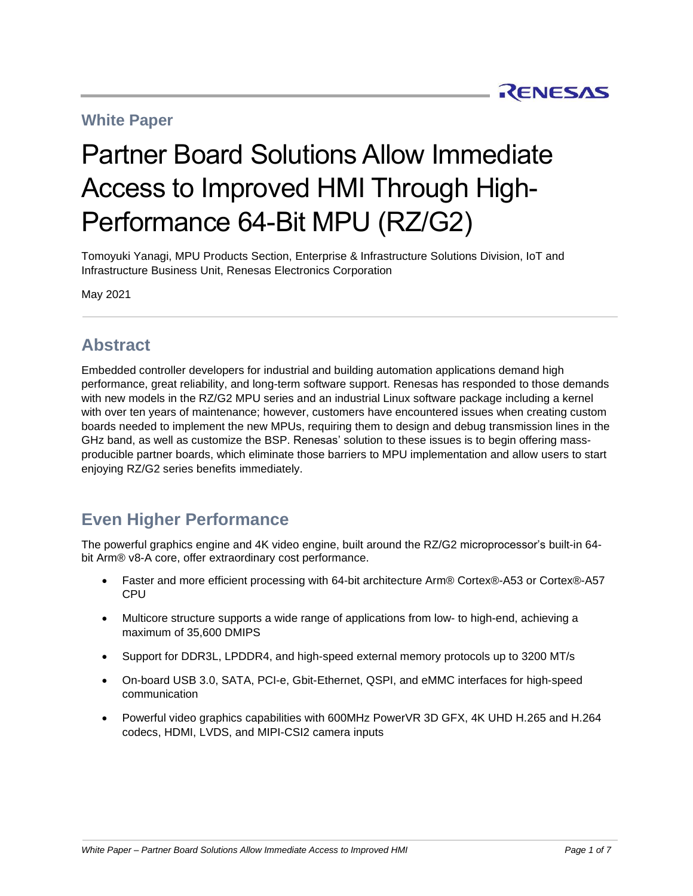### **White Paper**

# Partner Board Solutions Allow Immediate Access to Improved HMI Through High-Performance 64-Bit MPU (RZ/G2)

Tomoyuki Yanagi, MPU Products Section, Enterprise & Infrastructure Solutions Division, IoT and Infrastructure Business Unit, Renesas Electronics Corporation

May 2021

### **Abstract**

Embedded controller developers for industrial and building automation applications demand high performance, great reliability, and long-term software support. Renesas has responded to those demands with new models in the RZ/G2 MPU series and an industrial Linux software package including a kernel with over ten years of maintenance; however, customers have encountered issues when creating custom boards needed to implement the new MPUs, requiring them to design and debug transmission lines in the GHz band, as well as customize the BSP. Renesas' solution to these issues is to begin offering massproducible partner boards, which eliminate those barriers to MPU implementation and allow users to start enjoying RZ/G2 series benefits immediately.

## **Even Higher Performance**

The powerful graphics engine and 4K video engine, built around the RZ/G2 microprocessor's built-in 64 bit Arm® v8-A core, offer extraordinary cost performance.

- Faster and more efficient processing with 64-bit architecture Arm® Cortex®-A53 or Cortex®-A57 **CPU**
- Multicore structure supports a wide range of applications from low- to high-end, achieving a maximum of 35,600 DMIPS
- Support for DDR3L, LPDDR4, and high-speed external memory protocols up to 3200 MT/s
- On-board USB 3.0, SATA, PCI-e, Gbit-Ethernet, QSPI, and eMMC interfaces for high-speed communication
- Powerful video graphics capabilities with 600MHz PowerVR 3D GFX, 4K UHD H.265 and H.264 codecs, HDMI, LVDS, and MIPI-CSI2 camera inputs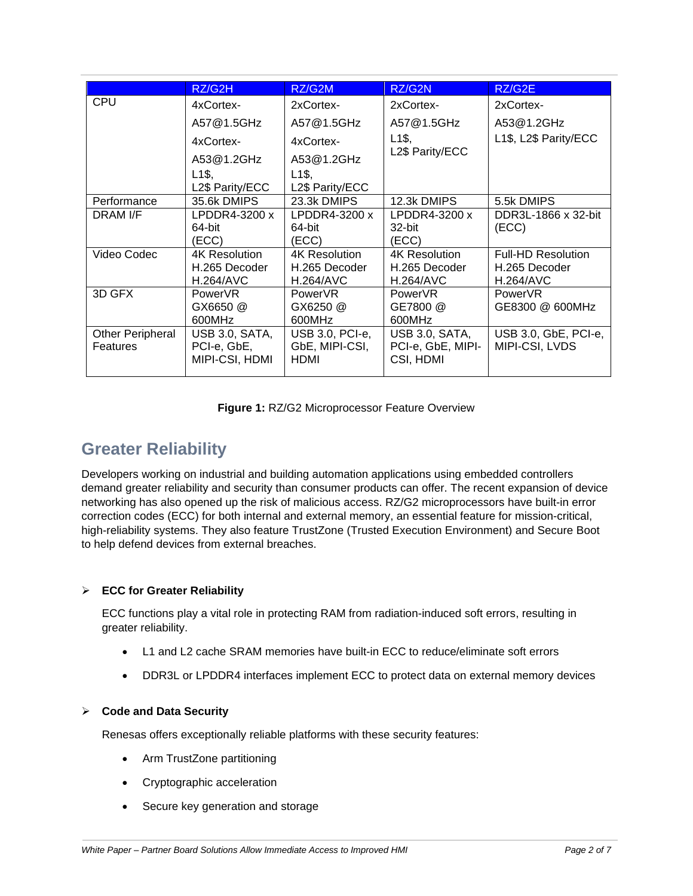|                         | RZ/G2H             | RZ/G2M              | RZ/G2N             | RZ/G2E                    |
|-------------------------|--------------------|---------------------|--------------------|---------------------------|
| <b>CPU</b>              | 4xCortex-          | 2xCortex-           | 2xCortex-          | 2xCortex-                 |
|                         | A57@1.5GHz         | A57@1.5GHz          | A57@1.5GHz         | A53@1.2GHz                |
|                         | 4xCortex-          | 4xCortex-           | L <sub>1</sub> \$, | L1\$, L2\$ Parity/ECC     |
|                         | A53@1.2GHz         | A53@1.2GHz          | L2\$ Parity/ECC    |                           |
|                         | L <sub>1</sub> \$, | $L1\$               |                    |                           |
|                         | L2\$ Parity/ECC    | L2\$ Parity/ECC     |                    |                           |
| Performance             | 35.6k DMIPS        | 23.3k DMIPS         | 12.3k DMIPS        | 5.5k DMIPS                |
| DRAM I/F                | $L$ PDDR4-3200 x   | $L$ PDDR4-3200 x    | $L$ PDDR4-3200 x   | DDR3L-1866 x 32-bit       |
|                         | 64-bit             | 64-bit              | 32-bit             | (ECC)                     |
|                         | (ECC)              | (ECC)               | (ECC)              |                           |
| Video Codec             | 4K Resolution      | 4K Resolution       | 4K Resolution      | <b>Full-HD Resolution</b> |
|                         | H.265 Decoder      | H.265 Decoder       | H.265 Decoder      | H.265 Decoder             |
|                         | <b>H.264/AVC</b>   | <b>H.264/AVC</b>    | <b>H.264/AVC</b>   | <b>H.264/AVC</b>          |
| 3D GFX                  | <b>PowerVR</b>     | Power <sub>VR</sub> | <b>PowerVR</b>     | <b>PowerVR</b>            |
|                         | GX6650 @           | $GX6250$ @          | GE7800 @           | GE8300 @ 600MHz           |
|                         | 600MHz             | 600MHz              | 600MHz             |                           |
| <b>Other Peripheral</b> | USB 3.0, SATA,     | USB 3.0, PCI-e,     | USB 3.0, SATA,     | USB 3.0, GbE, PCI-e,      |
| Features                | PCI-e, GbE,        | GbE, MIPI-CSI,      | PCI-e, GbE, MIPI-  | MIPI-CSI, LVDS            |
|                         | MIPI-CSI, HDMI     | <b>HDMI</b>         | CSI, HDMI          |                           |
|                         |                    |                     |                    |                           |

| Figure 1: RZ/G2 Microprocessor Feature Overview |  |
|-------------------------------------------------|--|
|-------------------------------------------------|--|

### **Greater Reliability**

Developers working on industrial and building automation applications using embedded controllers demand greater reliability and security than consumer products can offer. The recent expansion of device networking has also opened up the risk of malicious access. RZ/G2 microprocessors have built-in error correction codes (ECC) for both internal and external memory, an essential feature for mission-critical, high-reliability systems. They also feature TrustZone (Trusted Execution Environment) and Secure Boot to help defend devices from external breaches.

#### ➢ **ECC for Greater Reliability**

ECC functions play a vital role in protecting RAM from radiation-induced soft errors, resulting in greater reliability.

- L1 and L2 cache SRAM memories have built-in ECC to reduce/eliminate soft errors
- DDR3L or LPDDR4 interfaces implement ECC to protect data on external memory devices

#### ➢ **Code and Data Security**

Renesas offers exceptionally reliable platforms with these security features:

- Arm TrustZone partitioning
- Cryptographic acceleration
- Secure key generation and storage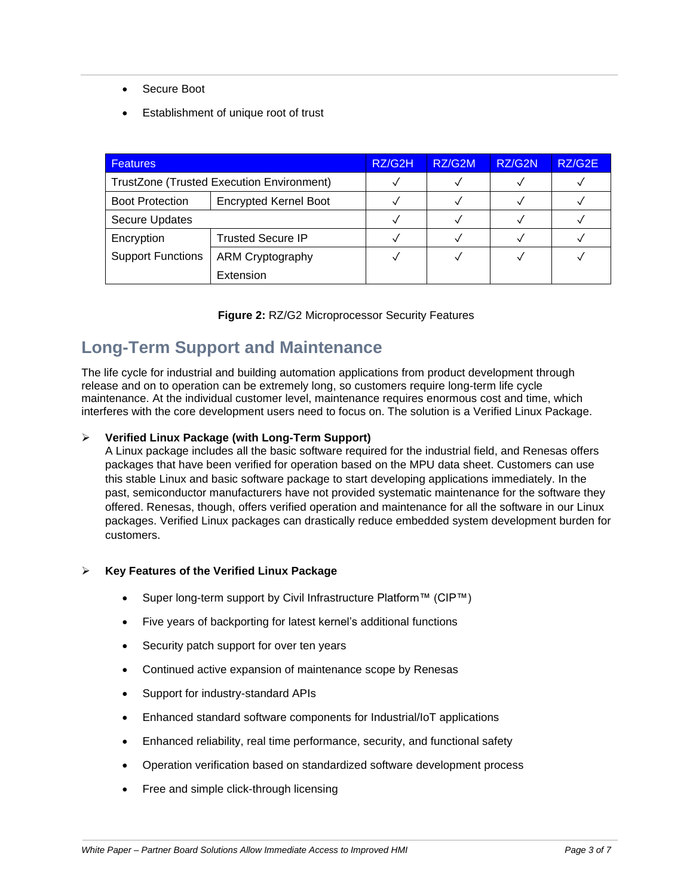- Secure Boot
- Establishment of unique root of trust

| <b>Features</b>                           |                              | RZ/G2H | RZ/G2M | RZ/G2N | RZ/G2E |
|-------------------------------------------|------------------------------|--------|--------|--------|--------|
| TrustZone (Trusted Execution Environment) |                              |        |        |        |        |
| <b>Boot Protection</b>                    | <b>Encrypted Kernel Boot</b> |        |        |        |        |
| <b>Secure Updates</b>                     |                              |        |        |        |        |
| Encryption                                | <b>Trusted Secure IP</b>     |        |        |        |        |
| <b>Support Functions</b>                  | ARM Cryptography             |        |        |        |        |
|                                           | Extension                    |        |        |        |        |

|  |  | Figure 2: RZ/G2 Microprocessor Security Features |
|--|--|--------------------------------------------------|
|--|--|--------------------------------------------------|

### **Long-Term Support and Maintenance**

The life cycle for industrial and building automation applications from product development through release and on to operation can be extremely long, so customers require long-term life cycle maintenance. At the individual customer level, maintenance requires enormous cost and time, which interferes with the core development users need to focus on. The solution is a Verified Linux Package.

#### ➢ **Verified Linux Package (with Long-Term Support)**

A Linux package includes all the basic software required for the industrial field, and Renesas offers packages that have been verified for operation based on the MPU data sheet. Customers can use this stable Linux and basic software package to start developing applications immediately. In the past, semiconductor manufacturers have not provided systematic maintenance for the software they offered. Renesas, though, offers verified operation and maintenance for all the software in our Linux packages. Verified Linux packages can drastically reduce embedded system development burden for customers.

#### ➢ **Key Features of the Verified Linux Package**

- Super long-term support by Civil Infrastructure Platform™ (CIP™)
- Five years of backporting for latest kernel's additional functions
- Security patch support for over ten years
- Continued active expansion of maintenance scope by Renesas
- Support for industry-standard APIs
- Enhanced standard software components for Industrial/IoT applications
- Enhanced reliability, real time performance, security, and functional safety
- Operation verification based on standardized software development process
- Free and simple click-through licensing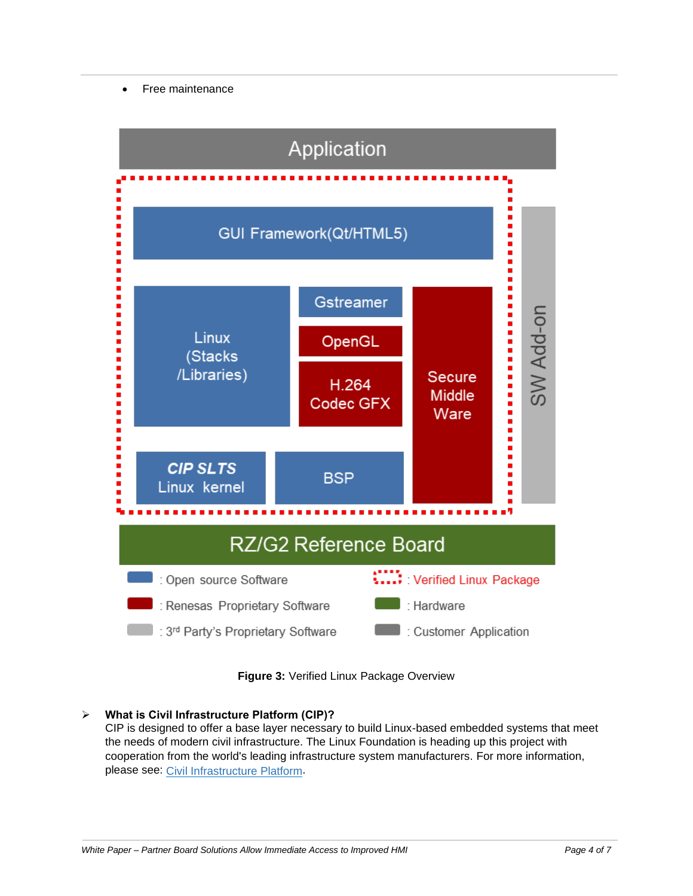#### • Free maintenance



**Figure 3:** Verified Linux Package Overview

#### ➢ **What is Civil Infrastructure Platform (CIP)?**

CIP is designed to offer a base layer necessary to build Linux-based embedded systems that meet the needs of modern civil infrastructure. The Linux Foundation is heading up this project with cooperation from the world's leading infrastructure system manufacturers. For more information, please see: Civil [Infrastructure](https://www.renesas.com/jp/en/products/microcontrollers-microprocessors/rz-cortex-a-mpus/rzg-linux-platform/rzg-marketplace/rzg-labo/rzgl000004) Platform.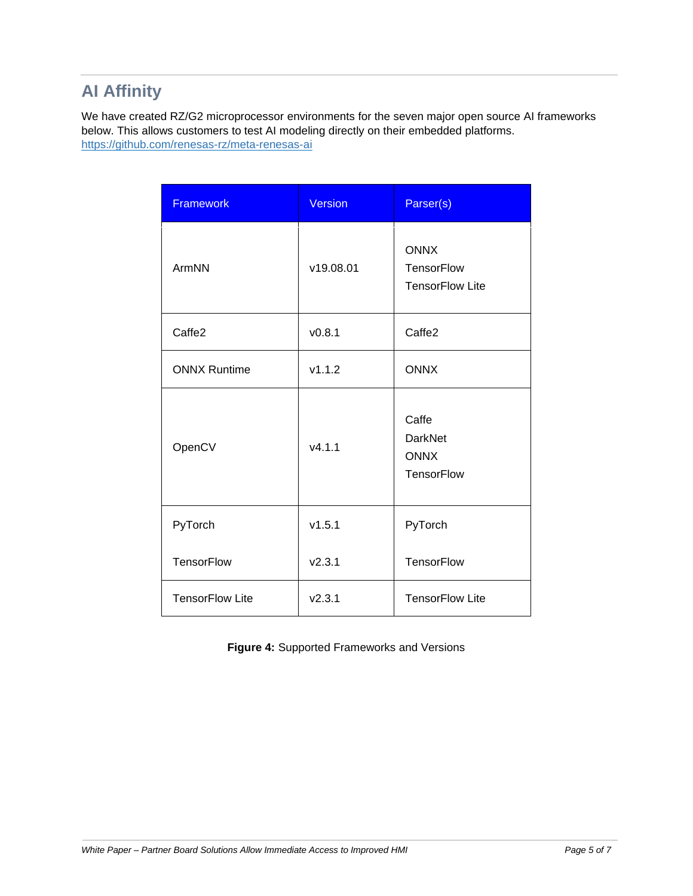# **AI Affinity**

We have created RZ/G2 microprocessor environments for the seven major open source AI frameworks below. This allows customers to test AI modeling directly on their embedded platforms. <https://github.com/renesas-rz/meta-renesas-ai>

| <b>Framework</b>       | <b>Version</b> | Parser(s)                                                   |
|------------------------|----------------|-------------------------------------------------------------|
| ArmNN                  | v19.08.01      | <b>ONNX</b><br><b>TensorFlow</b><br><b>TensorFlow Lite</b>  |
| Caffe2                 | V0.8.1         | Caffe <sub>2</sub>                                          |
| <b>ONNX Runtime</b>    | v1.1.2         | <b>ONNX</b>                                                 |
| OpenCV                 | v4.1.1         | Caffe<br><b>DarkNet</b><br><b>ONNX</b><br><b>TensorFlow</b> |
| PyTorch                | v1.5.1         | PyTorch                                                     |
| <b>TensorFlow</b>      | V2.3.1         | <b>TensorFlow</b>                                           |
| <b>TensorFlow Lite</b> | V2.3.1         | <b>TensorFlow Lite</b>                                      |

**Figure 4:** Supported Frameworks and Versions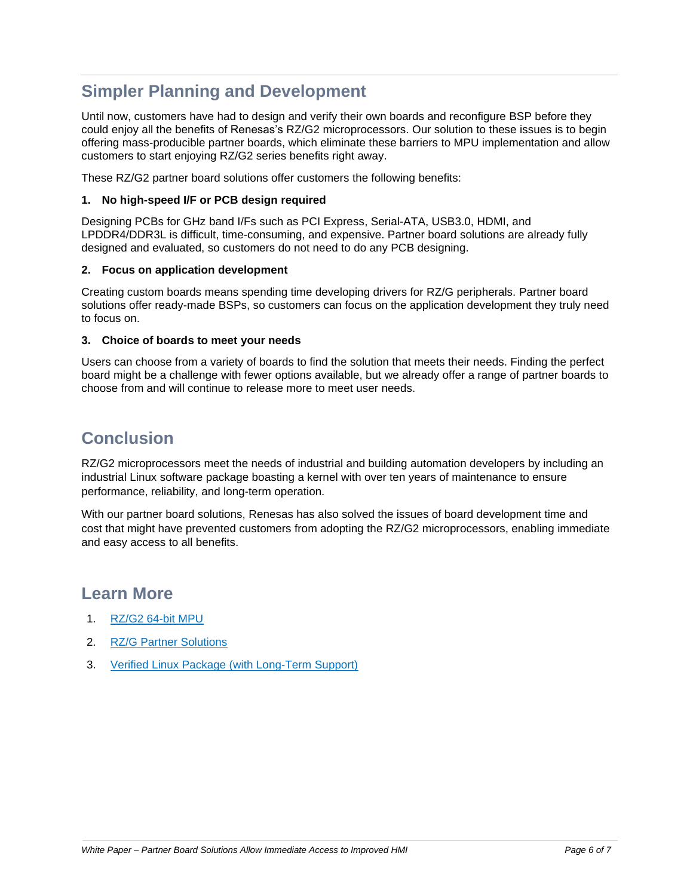## **Simpler Planning and Development**

Until now, customers have had to design and verify their own boards and reconfigure BSP before they could enjoy all the benefits of Renesas's RZ/G2 microprocessors. Our solution to these issues is to begin offering mass-producible partner boards, which eliminate these barriers to MPU implementation and allow customers to start enjoying RZ/G2 series benefits right away.

These RZ/G2 partner board solutions offer customers the following benefits:

#### **1. No high-speed I/F or PCB design required**

Designing PCBs for GHz band I/Fs such as PCI Express, Serial-ATA, USB3.0, HDMI, and LPDDR4/DDR3L is difficult, time-consuming, and expensive. Partner board solutions are already fully designed and evaluated, so customers do not need to do any PCB designing.

#### **2. Focus on application development**

Creating custom boards means spending time developing drivers for RZ/G peripherals. Partner board solutions offer ready-made BSPs, so customers can focus on the application development they truly need to focus on.

#### **3. Choice of boards to meet your needs**

Users can choose from a variety of boards to find the solution that meets their needs. Finding the perfect board might be a challenge with fewer options available, but we already offer a range of partner boards to choose from and will continue to release more to meet user needs.

### **Conclusion**

RZ/G2 microprocessors meet the needs of industrial and building automation developers by including an industrial Linux software package boasting a kernel with over ten years of maintenance to ensure performance, reliability, and long-term operation.

With our partner board solutions, Renesas has also solved the issues of board development time and cost that might have prevented customers from adopting the RZ/G2 microprocessors, enabling immediate and easy access to all benefits.

### **Learn More**

- 1. [RZ/G2](https://www.renesas.com/products/microcontrollers-microprocessors/rz-cortex-a-mpus/rzg2-mcus) 64-bit MPU
- 2. RZ/G Partner [Solutions](https://www.renesas.com/products/microcontrollers-microprocessors/rz-arm-based-high-end-32-64-bit-mpus/rzg-partner-solutions)
- 3. Verified Linux Package (with [Long-Term](https://www.renesas.com/products/microcontrollers-microprocessors/rz-cortex-a-mpus/rzg-linux-platform/rzg-marketplace/verified-linux-package) Support)